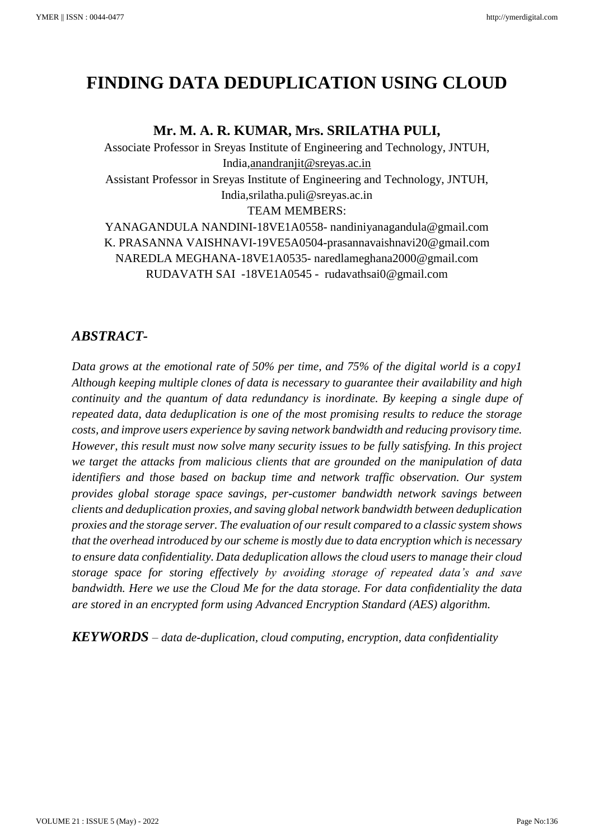# **FINDING DATA DEDUPLICATION USING CLOUD**

# **Mr. M. A. R. KUMAR, Mrs. SRILATHA PULI,**

Associate Professor in Sreyas Institute of Engineering and Technology, JNTUH, India[,anandranjit@sreyas.ac.in](mailto:anandranjit@sreyas.ac.in) Assistant Professor in Sreyas Institute of Engineering and Technology, JNTUH, India[,srilatha.puli@sreyas.ac.in](mailto:srilatha.puli@sreyas.ac.in) TEAM MEMBERS: YANAGANDULA NANDINI-18VE1A0558- [nandiniyanagandula@gmail.com](mailto:nandiniyanagandula@gmail.com) K. PRASANNA VAISHNAVI-19VE5A0504-prasannavaishnavi20@gmail.com

NAREDLA MEGHANA-18VE1A0535- [naredlameghana2000@gmail.com](mailto:naredlameghana2000@gmail.com) RUDAVATH SAI -18VE1A0545 - [rudavathsai0@gmail.com](mailto:rudavathsai0@gmail.com)

# *ABSTRACT-*

*Data grows at the emotional rate of 50% per time, and 75% of the digital world is a copy1 Although keeping multiple clones of data is necessary to guarantee their availability and high continuity and the quantum of data redundancy is inordinate. By keeping a single dupe of repeated data, data deduplication is one of the most promising results to reduce the storage costs, and improve users experience by saving network bandwidth and reducing provisory time. However, this result must now solve many security issues to be fully satisfying. In this project we target the attacks from malicious clients that are grounded on the manipulation of data identifiers and those based on backup time and network traffic observation. Our system provides global storage space savings, per-customer bandwidth network savings between clients and deduplication proxies, and saving global network bandwidth between deduplication proxies and the storage server. The evaluation of our result compared to a classic system shows that the overhead introduced by our scheme is mostly due to data encryption which is necessary to ensure data confidentiality. Data deduplication allows the cloud users to manage their cloud storage space for storing effectively by avoiding storage of repeated data's and save bandwidth. Here we use the Cloud Me for the data storage. For data confidentiality the data are stored in an encrypted form using Advanced Encryption Standard (AES) algorithm.*

*KEYWORDS – data de-duplication, cloud computing, encryption, data confidentiality*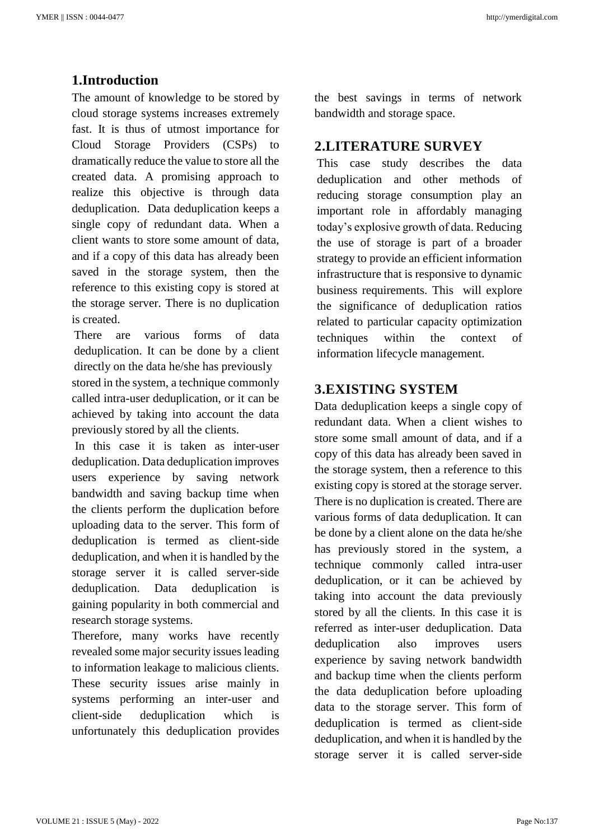#### **1.Introduction**

The amount of knowledge to be stored by cloud storage systems increases extremely fast. It is thus of utmost importance for Cloud Storage Providers (CSPs) to dramatically reduce the value to store all the created data. A promising approach to realize this objective is through data deduplication. Data deduplication keeps a single copy of redundant data. When a client wants to store some amount of data, and if a copy of this data has already been saved in the storage system, then the reference to this existing copy is stored at the storage server. There is no duplication is created.

There are various forms of data deduplication. It can be done by a client directly on the data he/she has previously stored in the system, a technique commonly called intra-user deduplication, or it can be achieved by taking into account the data previously stored by all the clients.

In this case it is taken as inter-user deduplication. Data deduplication improves users experience by saving network bandwidth and saving backup time when the clients perform the duplication before uploading data to the server. This form of deduplication is termed as client-side deduplication, and when it is handled by the storage server it is called server-side deduplication. Data deduplication is gaining popularity in both commercial and research storage systems.

Therefore, many works have recently revealed some major security issues leading to information leakage to malicious clients. These security issues arise mainly in systems performing an inter-user and client-side deduplication which is unfortunately this deduplication provides

the best savings in terms of network bandwidth and storage space.

#### **2.LITERATURE SURVEY**

This case study describes the data deduplication and other methods of reducing storage consumption play an important role in affordably managing today's explosive growth of data. Reducing the use of storage is part of a broader strategy to provide an efficient information infrastructure that is responsive to dynamic business requirements. This will explore the significance of deduplication ratios related to particular capacity optimization techniques within the context of information lifecycle management.

# **3.EXISTING SYSTEM**

Data deduplication keeps a single copy of redundant data. When a client wishes to store some small amount of data, and if a copy of this data has already been saved in the storage system, then a reference to this existing copy is stored at the storage server. There is no duplication is created. There are various forms of data deduplication. It can be done by a client alone on the data he/she has previously stored in the system, a technique commonly called intra-user deduplication, or it can be achieved by taking into account the data previously stored by all the clients. In this case it is referred as inter-user deduplication. Data deduplication also improves users experience by saving network bandwidth and backup time when the clients perform the data deduplication before uploading data to the storage server. This form of deduplication is termed as client-side deduplication, and when it is handled by the storage server it is called server-side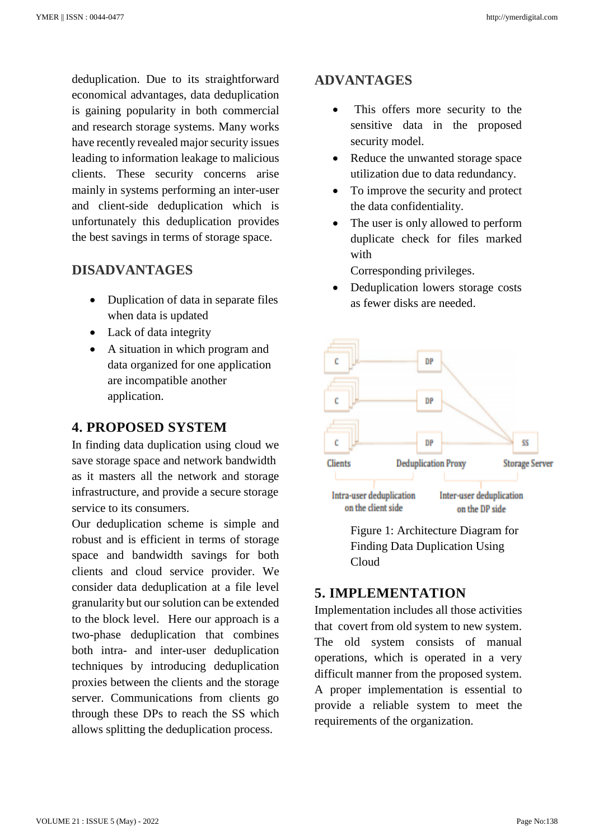deduplication. Due to its straightforward economical advantages, data deduplication is gaining popularity in both commercial and research storage systems. Many works have recently revealed major security issues leading to information leakage to malicious clients. These security concerns arise mainly in systems performing an inter-user and client-side deduplication which is unfortunately this deduplication provides the best savings in terms of storage space.

## **DISADVANTAGES**

- Duplication of data in separate files when data is updated
- Lack of data integrity
- A situation in which program and data organized for one application are incompatible another application.

## **4. PROPOSED SYSTEM**

In finding data duplication using cloud we save storage space and network bandwidth as it masters all the network and storage infrastructure, and provide a secure storage service to its consumers.

Our deduplication scheme is simple and robust and is efficient in terms of storage space and bandwidth savings for both clients and cloud service provider. We consider data deduplication at a file level granularity but our solution can be extended to the block level. Here our approach is a two-phase deduplication that combines both intra- and inter-user deduplication techniques by introducing deduplication proxies between the clients and the storage server. Communications from clients go through these DPs to reach the SS which allows splitting the deduplication process.

## **ADVANTAGES**

- This offers more security to the sensitive data in the proposed security model.
- Reduce the unwanted storage space utilization due to data redundancy.
- To improve the security and protect the data confidentiality.
- The user is only allowed to perform duplicate check for files marked with

Corresponding privileges.

Deduplication lowers storage costs as fewer disks are needed.



Figure 1: Architecture Diagram for Finding Data Duplication Using Cloud

# **5. IMPLEMENTATION**

Implementation includes all those activities that covert from old system to new system. The old system consists of manual operations, which is operated in a very difficult manner from the proposed system. A proper implementation is essential to provide a reliable system to meet the requirements of the organization.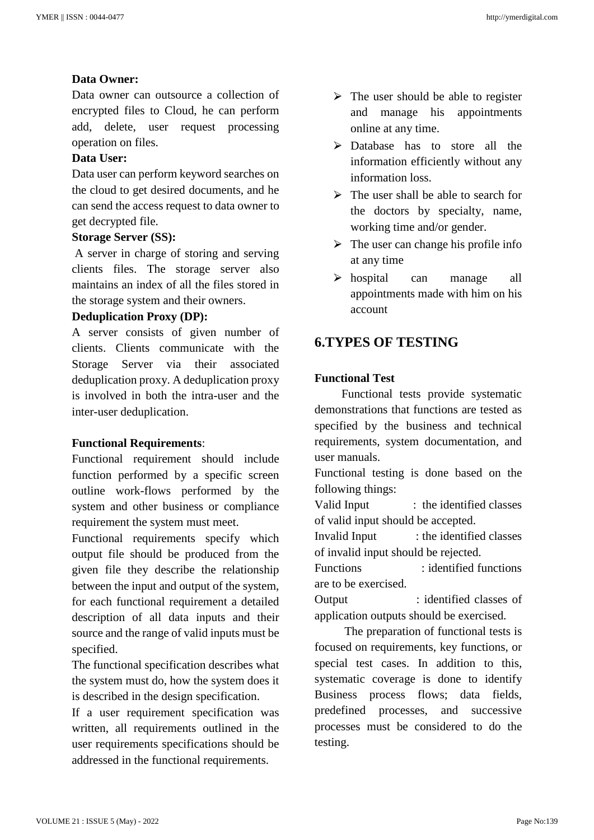#### **Data Owner:**

Data owner can outsource a collection of encrypted files to Cloud, he can perform add, delete, user request processing operation on files.

#### **Data User:**

Data user can perform keyword searches on the cloud to get desired documents, and he can send the access request to data owner to get decrypted file.

#### **Storage Server (SS):**

A server in charge of storing and serving clients files. The storage server also maintains an index of all the files stored in the storage system and their owners.

#### **Deduplication Proxy (DP):**

A server consists of given number of clients. Clients communicate with the Storage Server via their associated deduplication proxy. A deduplication proxy is involved in both the intra-user and the inter-user deduplication.

#### **Functional Requirements**:

Functional requirement should include function performed by a specific screen outline work-flows performed by the system and other business or compliance requirement the system must meet.

Functional requirements specify which output file should be produced from the given file they describe the relationship between the input and output of the system, for each functional requirement a detailed description of all data inputs and their source and the range of valid inputs must be specified.

The functional specification describes what the system must do, how the system does it is described in the design specification.

If a user requirement specification was written, all requirements outlined in the user requirements specifications should be addressed in the functional requirements.

- $\triangleright$  The user should be able to register and manage his appointments online at any time.
- $\triangleright$  Database has to store all the information efficiently without any information loss.
- $\triangleright$  The user shall be able to search for the doctors by specialty, name, working time and/or gender.
- $\triangleright$  The user can change his profile info at any time
- > hospital can manage all appointments made with him on his account

## **6.TYPES OF TESTING**

#### **Functional Test**

 Functional tests provide systematic demonstrations that functions are tested as specified by the business and technical requirements, system documentation, and user manuals.

Functional testing is done based on the following things:

Valid Input : the identified classes of valid input should be accepted.

Invalid Input : the identified classes of invalid input should be rejected.

Functions : identified functions are to be exercised.

Output : identified classes of application outputs should be exercised.

 The preparation of functional tests is focused on requirements, key functions, or special test cases. In addition to this, systematic coverage is done to identify Business process flows; data fields, predefined processes, and successive processes must be considered to do the testing.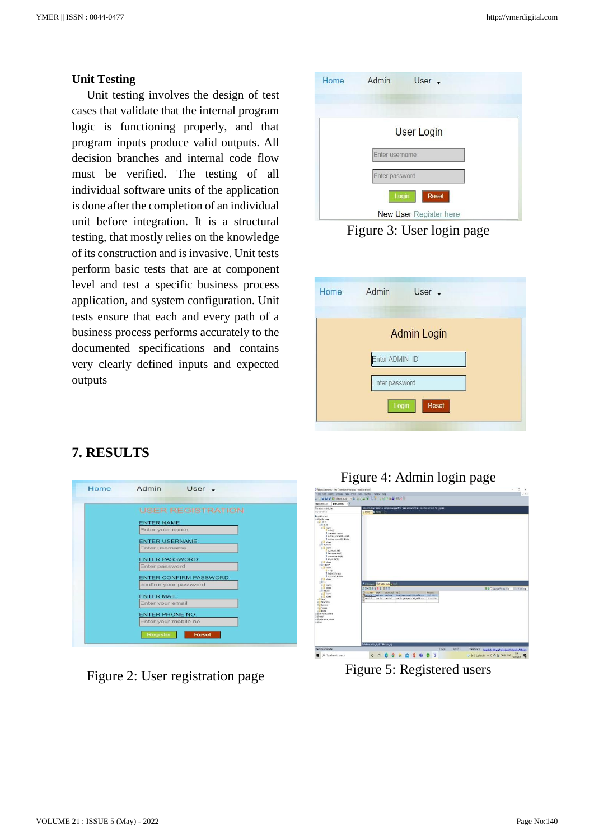#### **Unit Testing**

Unit testing involves the design of test cases that validate that the internal program logic is functioning properly, and that program inputs produce valid outputs. All decision branches and internal code flow must be verified. The testing of all individual software units of the application is done after the completion of an individual unit before integration. It is a structural testing, that mostly relies on the knowledge of its construction and is invasive. Unit tests perform basic tests that are at component level and test a specific business process application, and system configuration. Unit tests ensure that each and every path of a business process performs accurately to the documented specifications and contains very clearly defined inputs and expected outputs

| Home | Admin<br>User -        |
|------|------------------------|
|      |                        |
|      | <b>User Login</b>      |
|      | Enter username         |
|      | Enter password         |
|      | Login<br><b>Reset</b>  |
|      | New User Register here |

Figure 3: User login page

| Home | Admin          | User $\sim$        |  |
|------|----------------|--------------------|--|
|      |                | <b>Admin Login</b> |  |
|      | Enter ADMIN ID |                    |  |
|      | Enter password |                    |  |
|      | Login          | <b>Reset</b>       |  |

# **7. RESULTS**

| <b>Home</b> | Admin<br>$User -$                              |
|-------------|------------------------------------------------|
|             | <b>USER REGISTRATION</b>                       |
|             | <b>ENTER NAME:</b>                             |
|             | Enter your name<br><b>ENTER USERNAME:</b>      |
|             | Enter username                                 |
|             | <b>ENTER PASSWORD:</b><br>Enter password       |
|             | <b>ENTER CONFIRM PASSWORD:</b>                 |
|             | confirm your password<br><b>ENTER MAIL:</b>    |
|             | Enter your email                               |
|             | <b>ENTER PHONE NO:</b><br>Enter your mobile no |
|             | Register<br><b>Reset</b>                       |

Figure 2: User registration page



| New Connec :<br>New Connection<br>Fite takes a latest cloud.<br>For 131-91-53                                                                                                                                                                                                                                                                                                                                                                                                                                  | Street Autocomplete has complete support for table and column alases : Reason #15 to upgrade<br>Stuart Binday                                                                     |                                 |
|----------------------------------------------------------------------------------------------------------------------------------------------------------------------------------------------------------------------------------------------------------------------------------------------------------------------------------------------------------------------------------------------------------------------------------------------------------------------------------------------------------------|-----------------------------------------------------------------------------------------------------------------------------------------------------------------------------------|---------------------------------|
| in retirerated<br>= il bérid cloud<br>$E = T$ details<br>$\equiv$ 1 skots<br>E B Colores<br><b>Philin</b> S<br>Il conce tion videos<br>Il dollars vestariati likilde<br>Il biocides venturists raispie-<br>It is belows<br>□ II Aveloats<br>= 2 Colones<br>Elei zbankoda <sup>1</sup><br>Il forare surface?<br>Il use ans sachatés<br>Il sea varitatifi:<br>ii al indoseo<br>□ 图 · diocin<br>E & Columns<br>平台运动<br>II notices to see<br>Il boots informate<br><b>R</b> & Indexes<br>$= 3.54$<br>is if Colones | * Innocen E2 late tate v judi                                                                                                                                                     |                                 |
| ii il Indonesi<br>$=$ $\frac{1}{2}$ not top                                                                                                                                                                                                                                                                                                                                                                                                                                                                    | おち+活の替合物/田平原                                                                                                                                                                      | TO Clinton Sitro 10 1 Fefax 100 |
| $\equiv$ 2 Colores<br>it is house                                                                                                                                                                                                                                                                                                                                                                                                                                                                              | Півестиме двах<br>password mail<br>COUNTED.<br>Contain separa replace terestionsplans1000pad1.com 900070212<br>Quantist medial medial partially<br>cooperately mail out 1912(490) |                                 |
| E Winn<br>E & Street Proce<br><b>ICE Factors</b><br>E & Traces<br><b>E. Evans</b><br>Il il interace store<br>$\equiv$ il mod<br>= il ordentes scienti<br>$\approx 11$ test                                                                                                                                                                                                                                                                                                                                     |                                                                                                                                                                                   |                                 |

Figure 5: Registered users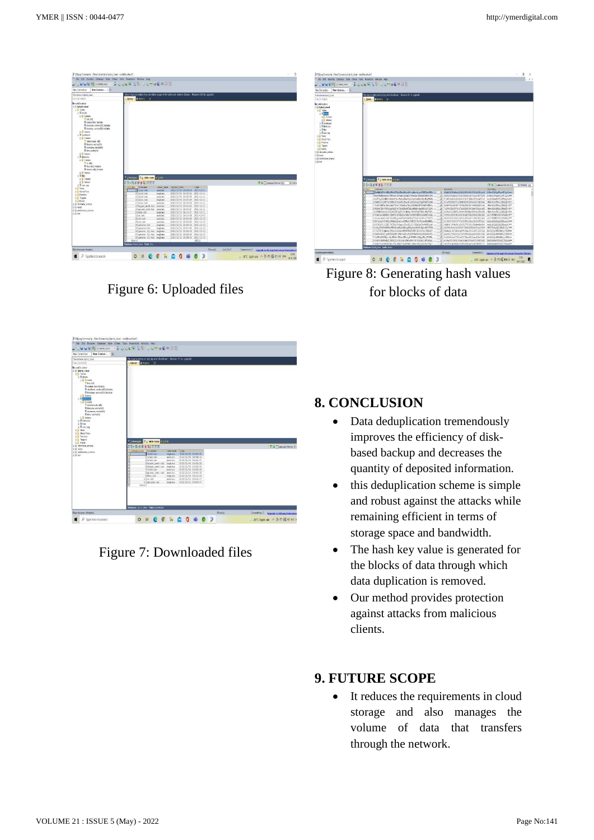| Filter tobles in hybrid, closed                                                                                                                                                                                                                                                                                                                                                                                                         | Smart Autocomplete has complete support for table and calarm alases : Reason #15 to upgrade |                |                                |             |  |                                 |  |
|-----------------------------------------------------------------------------------------------------------------------------------------------------------------------------------------------------------------------------------------------------------------------------------------------------------------------------------------------------------------------------------------------------------------------------------------|---------------------------------------------------------------------------------------------|----------------|--------------------------------|-------------|--|---------------------------------|--|
| File: Kin-Stabile<br>By not@tocalcost<br>E il tybrid cloud<br>$  $ Tables<br>$=$ <b>II</b> blocks<br><b>EL Columns</b><br>bid info<br><b>Il conve bico Natiole</b><br><b>III</b> shalltask vacharS33-Nellsble<br>Il tioclaw vactorS35 habite-<br>Il interes<br>$\equiv$ <b>III</b> doubtable<br><b>EL Columns</b><br>ddeestoods (MS)<br>Il fierane varitablia<br>Il utersane, varchas43<br>Il tre vacherità<br>R Most<br>$=$ 14 Meteoph | Query & Blittony +                                                                          |                |                                |             |  |                                 |  |
| <b>R</b> Columns<br><b>Barata</b><br>Il Sec edit Matere<br>B blockid.neSt.Nullable<br>III indoors                                                                                                                                                                                                                                                                                                                                       |                                                                                             |                |                                |             |  |                                 |  |
| $=$ 1 %<br>E & Columns                                                                                                                                                                                                                                                                                                                                                                                                                  | * 1 Messages 2 Table Data # 1 Mb                                                            |                |                                |             |  |                                 |  |
| <b>B</b> Indexes                                                                                                                                                                                                                                                                                                                                                                                                                        | 石法→活金里食る 日天王                                                                                |                |                                |             |  | TO Funtous Fistow 410 31 Editor |  |
|                                                                                                                                                                                                                                                                                                                                                                                                                                         | Distiles fileness                                                                           |                | owner name upload time         | <b>SSMA</b> |  |                                 |  |
|                                                                                                                                                                                                                                                                                                                                                                                                                                         | If file? tat                                                                                | DADGEES.       | 2821/11/06 10:29:05 2021-11-11 |             |  |                                 |  |
|                                                                                                                                                                                                                                                                                                                                                                                                                                         | 16file2.tat                                                                                 | reitata.       | 2821/11/06 10:33:13 2021-11-11 |             |  |                                 |  |
|                                                                                                                                                                                                                                                                                                                                                                                                                                         | 15 file5, tat                                                                               | pandisi.       | 2021/11/06 12:23:59 2021-11-11 |             |  |                                 |  |
|                                                                                                                                                                                                                                                                                                                                                                                                                                         | 14 file1.tat                                                                                | meghana        | 2021/11/06 12:57:19 2021-11-11 |             |  |                                 |  |
|                                                                                                                                                                                                                                                                                                                                                                                                                                         | 17file1.tat                                                                                 | <b>DADGES</b>  | 2021/11/05 14:03:26 2021-11-11 |             |  |                                 |  |
|                                                                                                                                                                                                                                                                                                                                                                                                                                         | 10 Osygen mask.tat                                                                          | nesdisi        | D321/11/06 15:30:21 2021-11-11 |             |  |                                 |  |
|                                                                                                                                                                                                                                                                                                                                                                                                                                         | 19 upload test.tat                                                                          | <b>handisi</b> | 2021/11/10 16:00:17 2021-11-11 |             |  |                                 |  |
|                                                                                                                                                                                                                                                                                                                                                                                                                                         | 20 des .tat                                                                                 | reghana        | 2821/11/10 16:10:07 2021-11-11 |             |  |                                 |  |
|                                                                                                                                                                                                                                                                                                                                                                                                                                         | 2169.585                                                                                    | nential        | 2021/11/11 15:30:56 2021-11-15 |             |  |                                 |  |
|                                                                                                                                                                                                                                                                                                                                                                                                                                         | 22 cet. txt.                                                                                | <b>DANSELL</b> | 2021/11/11 15:40:16 2021-11-15 |             |  |                                 |  |
|                                                                                                                                                                                                                                                                                                                                                                                                                                         | 22cet.txt                                                                                   | nenciri.       | 2021/11/11 15:43:20 2021-11-15 |             |  |                                 |  |
|                                                                                                                                                                                                                                                                                                                                                                                                                                         | 24 coerate, tat                                                                             | reitana        | BMS111/11 15:44:06 2021-11-15  |             |  |                                 |  |
|                                                                                                                                                                                                                                                                                                                                                                                                                                         | 25 operate, tat                                                                             | neghana        | 0001/11/11 15:47:19 0001-11-15 |             |  |                                 |  |
|                                                                                                                                                                                                                                                                                                                                                                                                                                         | 26 operate (1) tat mechana                                                                  |                | 2021/11/11 15:51:39 2021-11-15 |             |  |                                 |  |
|                                                                                                                                                                                                                                                                                                                                                                                                                                         |                                                                                             |                | 2021/11/11 15:52:39 2021-11-15 |             |  |                                 |  |
|                                                                                                                                                                                                                                                                                                                                                                                                                                         | 27 operate (1).tet                                                                          | reghana        | 0301/11/11 15:54:33 0001-11-15 |             |  |                                 |  |
| и Пластар<br>E Vess<br>+ Stoed Pocs<br>T Functions<br>E Triggers<br>$x = F$<br>E il elonaton schema<br>$\equiv$ $\mathbf{0}$ mad<br>El B pertenance sotena<br>田前地                                                                                                                                                                                                                                                                       | 20 operate (1) tat meghana<br>(Sute)                                                        |                |                                | (2022)      |  |                                 |  |

Figure 6: Uploaded files



Figure 8: Generating hash values for blocks of data



Figure 7: Downloaded files

# **8. CONCLUSION**

- Data deduplication tremendously improves the efficiency of diskbased backup and decreases the quantity of deposited information.
- this deduplication scheme is simple and robust against the attacks while remaining efficient in terms of storage space and bandwidth.
- The hash key value is generated for the blocks of data through which data duplication is removed.
- Our method provides protection against attacks from malicious clients.

# **9. FUTURE SCOPE**

• It reduces the requirements in cloud storage and also manages the volume of data that transfers through the network.